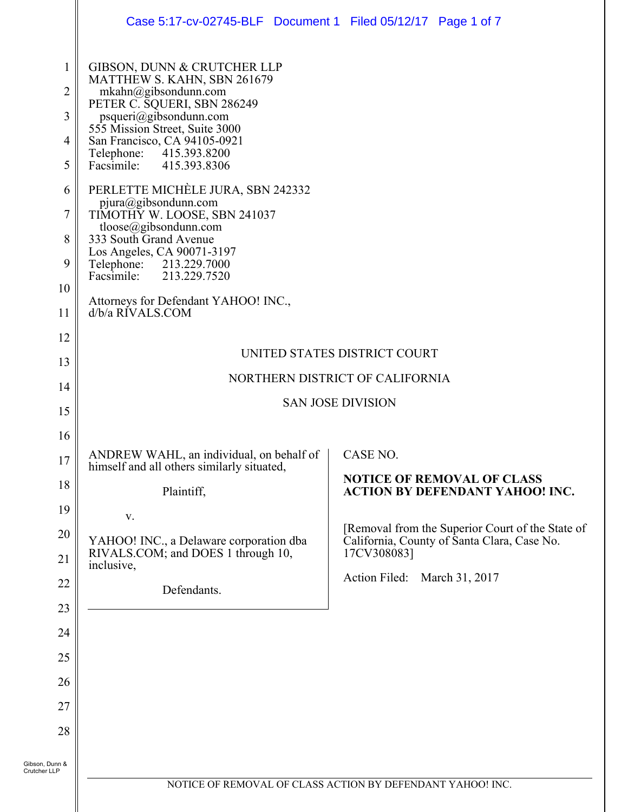|                                                              | Case 5:17-cv-02745-BLF Document 1 Filed 05/12/17 Page 1 of 7                                                                                                                                                                                                                                                                                                                                                                                                                                                  |                                                                                                                                                |  |  |  |
|--------------------------------------------------------------|---------------------------------------------------------------------------------------------------------------------------------------------------------------------------------------------------------------------------------------------------------------------------------------------------------------------------------------------------------------------------------------------------------------------------------------------------------------------------------------------------------------|------------------------------------------------------------------------------------------------------------------------------------------------|--|--|--|
| 1<br>$\overline{2}$<br>3<br>4<br>5<br>6<br>7<br>8<br>9<br>10 | GIBSON, DUNN & CRUTCHER LLP<br>MATTHEW S. KAHN, SBN 261679<br>mkahn@gibsondunn.com<br>PETER C. SQUERI, SBN 286249<br>psqueri@gibsondunn.com<br>555 Mission Street, Suite 3000<br>San Francisco, CA 94105-0921<br>Telephone: 415.393.8200<br>Facsimile:<br>415.393.8306<br>PERLETTE MICHÈLE JURA, SBN 242332<br>pjura@gibsondunn.com<br>TIMOTHY W. LOOSE, SBN 241037<br>tloose@gibsondunn.com<br>333 South Grand Avenue<br>Los Angeles, CA 90071-3197<br>Telephone: 213.229.7000<br>Facsimile:<br>213.229.7520 |                                                                                                                                                |  |  |  |
| 11                                                           | Attorneys for Defendant YAHOO! INC.,<br>d/b/a RIVALS.COM                                                                                                                                                                                                                                                                                                                                                                                                                                                      |                                                                                                                                                |  |  |  |
| 12                                                           |                                                                                                                                                                                                                                                                                                                                                                                                                                                                                                               |                                                                                                                                                |  |  |  |
| 13                                                           | UNITED STATES DISTRICT COURT                                                                                                                                                                                                                                                                                                                                                                                                                                                                                  |                                                                                                                                                |  |  |  |
| 14                                                           | NORTHERN DISTRICT OF CALIFORNIA                                                                                                                                                                                                                                                                                                                                                                                                                                                                               |                                                                                                                                                |  |  |  |
| 15                                                           | <b>SAN JOSE DIVISION</b>                                                                                                                                                                                                                                                                                                                                                                                                                                                                                      |                                                                                                                                                |  |  |  |
| 16                                                           |                                                                                                                                                                                                                                                                                                                                                                                                                                                                                                               |                                                                                                                                                |  |  |  |
| 17                                                           | ANDREW WAHL, an individual, on behalf of<br>himself and all others similarly situated,                                                                                                                                                                                                                                                                                                                                                                                                                        | CASE NO.                                                                                                                                       |  |  |  |
| 18                                                           | Plaintiff,                                                                                                                                                                                                                                                                                                                                                                                                                                                                                                    | <b>NOTICE OF REMOVAL OF CLASS</b><br><b>ACTION BY DEFENDANT YAHOO! INC.</b>                                                                    |  |  |  |
| 19                                                           | V.                                                                                                                                                                                                                                                                                                                                                                                                                                                                                                            |                                                                                                                                                |  |  |  |
| 20<br>21                                                     | YAHOO! INC., a Delaware corporation dba<br>RIVALS.COM; and DOES 1 through 10,<br>inclusive,                                                                                                                                                                                                                                                                                                                                                                                                                   | [Removal from the Superior Court of the State of<br>California, County of Santa Clara, Case No.<br>17CV308083]<br>Action Filed: March 31, 2017 |  |  |  |
| 22                                                           |                                                                                                                                                                                                                                                                                                                                                                                                                                                                                                               |                                                                                                                                                |  |  |  |
| 23                                                           | Defendants.                                                                                                                                                                                                                                                                                                                                                                                                                                                                                                   |                                                                                                                                                |  |  |  |
| 24                                                           |                                                                                                                                                                                                                                                                                                                                                                                                                                                                                                               |                                                                                                                                                |  |  |  |
| 25                                                           |                                                                                                                                                                                                                                                                                                                                                                                                                                                                                                               |                                                                                                                                                |  |  |  |
| 26                                                           |                                                                                                                                                                                                                                                                                                                                                                                                                                                                                                               |                                                                                                                                                |  |  |  |
| 27                                                           |                                                                                                                                                                                                                                                                                                                                                                                                                                                                                                               |                                                                                                                                                |  |  |  |
| 28                                                           |                                                                                                                                                                                                                                                                                                                                                                                                                                                                                                               |                                                                                                                                                |  |  |  |
| Gibson, Dunn &<br>Crutcher LLP                               |                                                                                                                                                                                                                                                                                                                                                                                                                                                                                                               | NOTICE OF REMOVAL OF CLASS ACTION BY DEFENDANT YAHOO! INC.                                                                                     |  |  |  |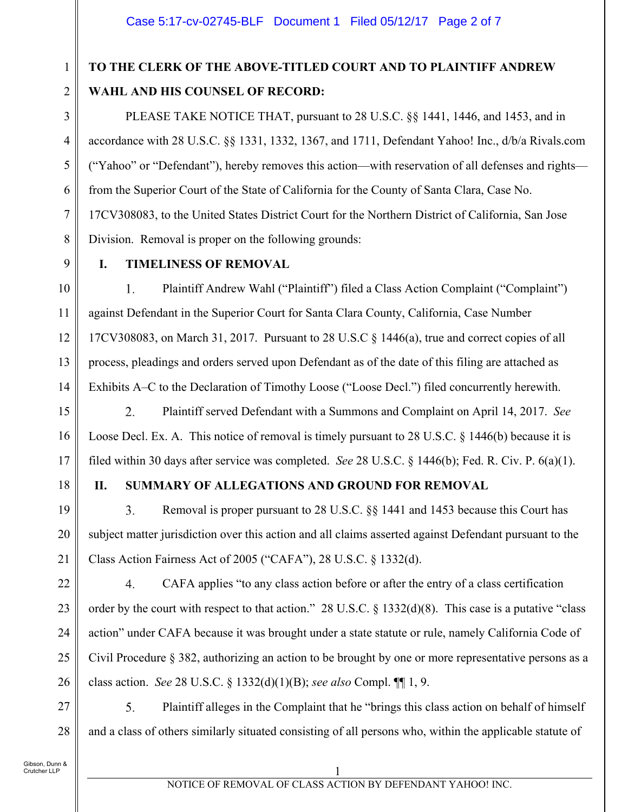# **TO THE CLERK OF THE ABOVE-TITLED COURT AND TO PLAINTIFF ANDREW WAHL AND HIS COUNSEL OF RECORD:**

PLEASE TAKE NOTICE THAT, pursuant to 28 U.S.C. §§ 1441, 1446, and 1453, and in accordance with 28 U.S.C. §§ 1331, 1332, 1367, and 1711, Defendant Yahoo! Inc., d/b/a Rivals.com ("Yahoo" or "Defendant"), hereby removes this action—with reservation of all defenses and rights from the Superior Court of the State of California for the County of Santa Clara, Case No. 17CV308083, to the United States District Court for the Northern District of California, San Jose Division. Removal is proper on the following grounds:

9

10

11

12

13

14

15

16

17

8

1

2

3

4

5

6

7

### **I. TIMELINESS OF REMOVAL**

1. Plaintiff Andrew Wahl ("Plaintiff") filed a Class Action Complaint ("Complaint") against Defendant in the Superior Court for Santa Clara County, California, Case Number 17CV308083, on March 31, 2017. Pursuant to 28 U.S.C § 1446(a), true and correct copies of all process, pleadings and orders served upon Defendant as of the date of this filing are attached as Exhibits A–C to the Declaration of Timothy Loose ("Loose Decl.") filed concurrently herewith.

2. Plaintiff served Defendant with a Summons and Complaint on April 14, 2017. *See* Loose Decl. Ex. A. This notice of removal is timely pursuant to 28 U.S.C. § 1446(b) because it is filed within 30 days after service was completed. *See* 28 U.S.C. § 1446(b); Fed. R. Civ. P. 6(a)(1).

18

19

20

21

22

23

24

25

26

27

28

## **II. SUMMARY OF ALLEGATIONS AND GROUND FOR REMOVAL**

 $3.$ Removal is proper pursuant to 28 U.S.C. §§ 1441 and 1453 because this Court has subject matter jurisdiction over this action and all claims asserted against Defendant pursuant to the Class Action Fairness Act of 2005 ("CAFA"), 28 U.S.C. § 1332(d).

 $4.$ CAFA applies "to any class action before or after the entry of a class certification order by the court with respect to that action." 28 U.S.C. § 1332(d)(8). This case is a putative "class action" under CAFA because it was brought under a state statute or rule, namely California Code of Civil Procedure § 382, authorizing an action to be brought by one or more representative persons as a class action. *See* 28 U.S.C. § 1332(d)(1)(B); *see also* Compl. ¶¶ 1, 9.

 $5<sub>1</sub>$ Plaintiff alleges in the Complaint that he "brings this class action on behalf of himself and a class of others similarly situated consisting of all persons who, within the applicable statute of

Gibson, Dunn & Crutcher LLP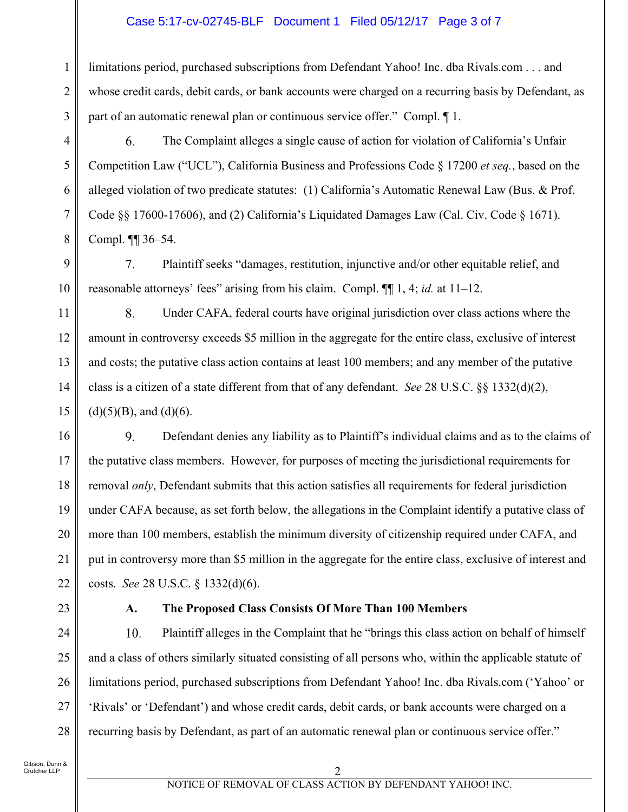#### Case 5:17-cv-02745-BLF Document 1 Filed 05/12/17 Page 3 of 7

limitations period, purchased subscriptions from Defendant Yahoo! Inc. dba Rivals.com . . . and whose credit cards, debit cards, or bank accounts were charged on a recurring basis by Defendant, as part of an automatic renewal plan or continuous service offer." Compl. ¶ 1.

6. The Complaint alleges a single cause of action for violation of California's Unfair Competition Law ("UCL"), California Business and Professions Code § 17200 *et seq.*, based on the alleged violation of two predicate statutes: (1) California's Automatic Renewal Law (Bus. & Prof. Code §§ 17600-17606), and (2) California's Liquidated Damages Law (Cal. Civ. Code § 1671). Compl. ¶¶ 36–54.

7. Plaintiff seeks "damages, restitution, injunctive and/or other equitable relief, and reasonable attorneys' fees" arising from his claim. Compl. ¶¶ 1, 4; *id.* at 11–12.

8. Under CAFA, federal courts have original jurisdiction over class actions where the amount in controversy exceeds \$5 million in the aggregate for the entire class, exclusive of interest and costs; the putative class action contains at least 100 members; and any member of the putative class is a citizen of a state different from that of any defendant. *See* 28 U.S.C. §§ 1332(d)(2),  $(d)(5)(B)$ , and  $(d)(6)$ .

16 9. Defendant denies any liability as to Plaintiff's individual claims and as to the claims of 17 the putative class members. However, for purposes of meeting the jurisdictional requirements for removal *only*, Defendant submits that this action satisfies all requirements for federal jurisdiction 18 19 under CAFA because, as set forth below, the allegations in the Complaint identify a putative class of 20 more than 100 members, establish the minimum diversity of citizenship required under CAFA, and 21 put in controversy more than \$5 million in the aggregate for the entire class, exclusive of interest and 22 costs. *See* 28 U.S.C. § 1332(d)(6).

23

24

25

26

27

28

1

2

3

4

5

6

7

8

9

10

11

12

13

14

15

#### **A. The Proposed Class Consists Of More Than 100 Members**

 $10<sub>1</sub>$ Plaintiff alleges in the Complaint that he "brings this class action on behalf of himself and a class of others similarly situated consisting of all persons who, within the applicable statute of limitations period, purchased subscriptions from Defendant Yahoo! Inc. dba Rivals.com ('Yahoo' or 'Rivals' or 'Defendant') and whose credit cards, debit cards, or bank accounts were charged on a recurring basis by Defendant, as part of an automatic renewal plan or continuous service offer."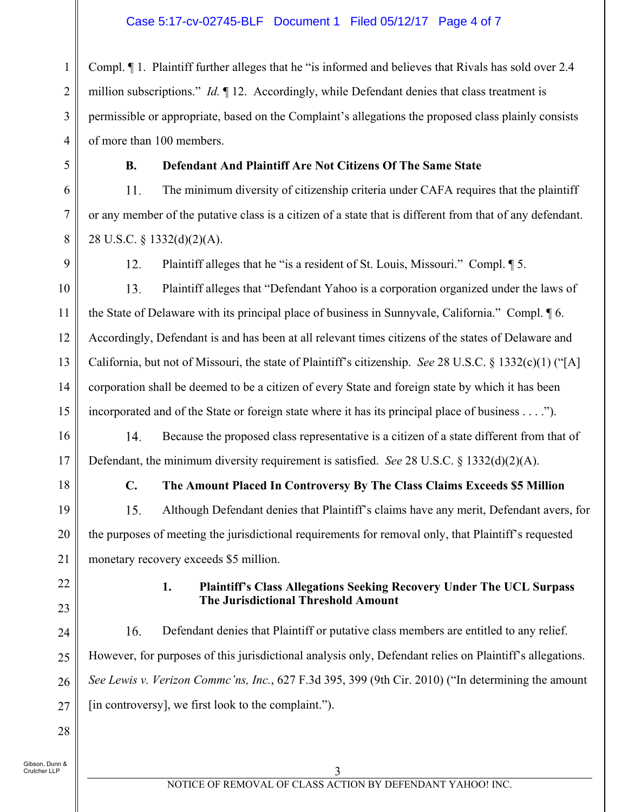1 2 3 4 Compl. ¶ 1. Plaintiff further alleges that he "is informed and believes that Rivals has sold over 2.4 million subscriptions." *Id.* ¶ 12. Accordingly, while Defendant denies that class treatment is permissible or appropriate, based on the Complaint's allegations the proposed class plainly consists of more than 100 members.

### **B. Defendant And Plaintiff Are Not Citizens Of The Same State**

The minimum diversity of citizenship criteria under CAFA requires that the plaintiff 11. or any member of the putative class is a citizen of a state that is different from that of any defendant. 28 U.S.C. § 1332(d)(2)(A).

5

6

7

8

9

 $12.$ Plaintiff alleges that he "is a resident of St. Louis, Missouri." Compl. ¶ 5.

10 13. Plaintiff alleges that "Defendant Yahoo is a corporation organized under the laws of 11 the State of Delaware with its principal place of business in Sunnyvale, California." Compl. ¶ 6. 12 Accordingly, Defendant is and has been at all relevant times citizens of the states of Delaware and 13 California, but not of Missouri, the state of Plaintiff's citizenship. *See* 28 U.S.C. § 1332(c)(1) ("[A] 14 corporation shall be deemed to be a citizen of every State and foreign state by which it has been incorporated and of the State or foreign state where it has its principal place of business . . . ."). 15

Because the proposed class representative is a citizen of a state different from that of 14. Defendant, the minimum diversity requirement is satisfied. *See* 28 U.S.C. § 1332(d)(2)(A).

18

16

17

19

20

21

#### **C. The Amount Placed In Controversy By The Class Claims Exceeds \$5 Million**

Although Defendant denies that Plaintiff's claims have any merit, Defendant avers, for 15. the purposes of meeting the jurisdictional requirements for removal only, that Plaintiff's requested monetary recovery exceeds \$5 million.

- 22
- 23

#### **1. Plaintiff's Class Allegations Seeking Recovery Under The UCL Surpass The Jurisdictional Threshold Amount**

16. Defendant denies that Plaintiff or putative class members are entitled to any relief. 24 However, for purposes of this jurisdictional analysis only, Defendant relies on Plaintiff's allegations. 25 *See Lewis v. Verizon Commc'ns, Inc.*, 627 F.3d 395, 399 (9th Cir. 2010) ("In determining the amount 26 [in controversy], we first look to the complaint."). 27

Gibson, Dunn & Crutcher LLP

28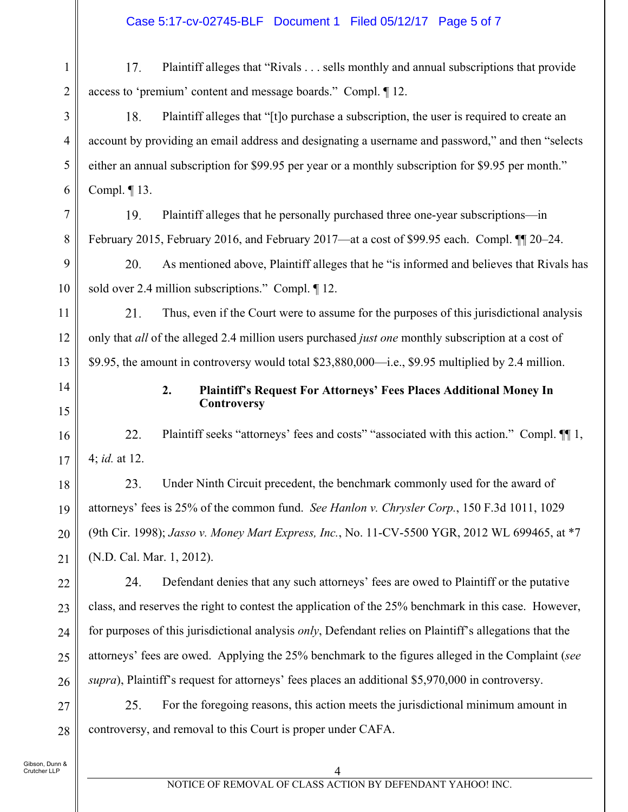1 17. Plaintiff alleges that "Rivals . . . sells monthly and annual subscriptions that provide 2 access to 'premium' content and message boards." Compl. ¶ 12.

18. Plaintiff alleges that "[t]o purchase a subscription, the user is required to create an account by providing an email address and designating a username and password," and then "selects either an annual subscription for \$99.95 per year or a monthly subscription for \$9.95 per month." Compl. ¶ 13.

7 19. Plaintiff alleges that he personally purchased three one-year subscriptions—in 8 February 2015, February 2016, and February 2017—at a cost of \$99.95 each. Compl. ¶¶ 20–24.

9 As mentioned above, Plaintiff alleges that he "is informed and believes that Rivals has 20. 10 sold over 2.4 million subscriptions." Compl.  $\P$  12.

11 21. Thus, even if the Court were to assume for the purposes of this jurisdictional analysis 12 only that *all* of the alleged 2.4 million users purchased *just one* monthly subscription at a cost of 13 \$9.95, the amount in controversy would total \$23,880,000—i.e., \$9.95 multiplied by 2.4 million.

14

15

16

17

22

23

24

25

26

3

4

5

6

### **2. Plaintiff's Request For Attorneys' Fees Places Additional Money In Controversy**

22. Plaintiff seeks "attorneys' fees and costs" "associated with this action." Compl.  $\P$ [1, 4; *id.* at 12.

23. Under Ninth Circuit precedent, the benchmark commonly used for the award of 18 19 attorneys' fees is 25% of the common fund. *See Hanlon v. Chrysler Corp.*, 150 F.3d 1011, 1029 (9th Cir. 1998); *Jasso v. Money Mart Express, Inc.*, No. 11-CV-5500 YGR, 2012 WL 699465, at \*7 20 (N.D. Cal. Mar. 1, 2012). 21

24. Defendant denies that any such attorneys' fees are owed to Plaintiff or the putative class, and reserves the right to contest the application of the 25% benchmark in this case. However, for purposes of this jurisdictional analysis *only*, Defendant relies on Plaintiff's allegations that the attorneys' fees are owed. Applying the 25% benchmark to the figures alleged in the Complaint (*see supra*), Plaintiff's request for attorneys' fees places an additional \$5,970,000 in controversy.

25. For the foregoing reasons, this action meets the jurisdictional minimum amount in 27 controversy, and removal to this Court is proper under CAFA. 28

Gibson, Dunn & Crutcher LLP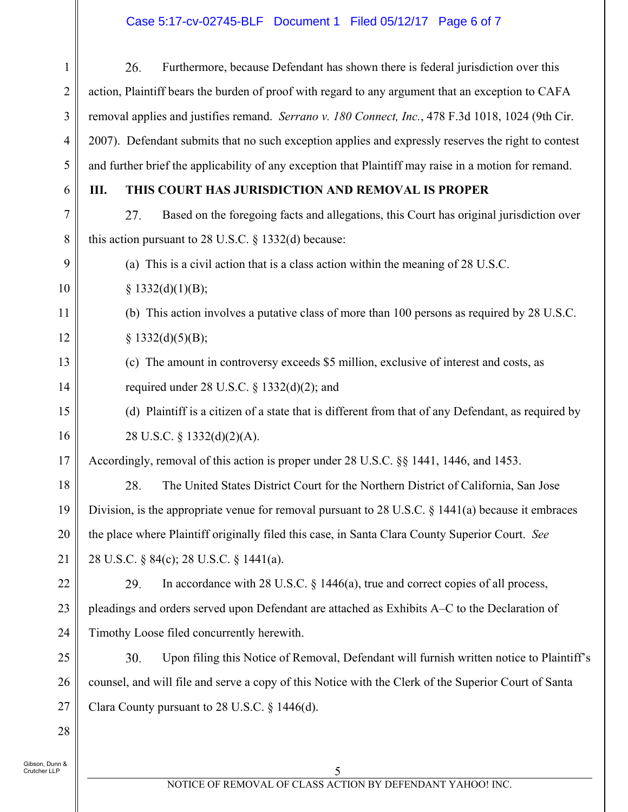# Case 5:17-cv-02745-BLF Document 1 Filed 05/12/17 Page 6 of 7

| $\mathbf{1}$                   | Furthermore, because Defendant has shown there is federal jurisdiction over this<br>26.               |  |  |  |
|--------------------------------|-------------------------------------------------------------------------------------------------------|--|--|--|
| $\overline{2}$                 | action, Plaintiff bears the burden of proof with regard to any argument that an exception to CAFA     |  |  |  |
| $\mathfrak{Z}$                 | removal applies and justifies remand. Serrano v. 180 Connect, Inc., 478 F.3d 1018, 1024 (9th Cir.     |  |  |  |
| 4                              | 2007). Defendant submits that no such exception applies and expressly reserves the right to contest   |  |  |  |
| 5                              | and further brief the applicability of any exception that Plaintiff may raise in a motion for remand. |  |  |  |
| 6                              | THIS COURT HAS JURISDICTION AND REMOVAL IS PROPER<br>Ш.                                               |  |  |  |
| $\overline{7}$                 | Based on the foregoing facts and allegations, this Court has original jurisdiction over<br>27.        |  |  |  |
| 8                              | this action pursuant to 28 U.S.C. § 1332(d) because:                                                  |  |  |  |
| 9                              | (a) This is a civil action that is a class action within the meaning of 28 U.S.C.                     |  |  |  |
| 10                             | § 1332(d)(1)(B);                                                                                      |  |  |  |
| 11                             | (b) This action involves a putative class of more than 100 persons as required by 28 U.S.C.           |  |  |  |
| 12                             | § 1332(d)(5)(B);                                                                                      |  |  |  |
| 13                             | (c) The amount in controversy exceeds \$5 million, exclusive of interest and costs, as                |  |  |  |
| 14                             | required under 28 U.S.C. $\S$ 1332(d)(2); and                                                         |  |  |  |
| 15                             | (d) Plaintiff is a citizen of a state that is different from that of any Defendant, as required by    |  |  |  |
| 16                             | 28 U.S.C. § 1332(d)(2)(A).                                                                            |  |  |  |
| 17                             | Accordingly, removal of this action is proper under 28 U.S.C. §§ 1441, 1446, and 1453.                |  |  |  |
| 18                             | 28.<br>The United States District Court for the Northern District of California, San Jose             |  |  |  |
| 19                             | Division, is the appropriate venue for removal pursuant to 28 U.S.C. $\S$ 1441(a) because it embraces |  |  |  |
| 20                             | the place where Plaintiff originally filed this case, in Santa Clara County Superior Court. See       |  |  |  |
| 21                             | 28 U.S.C. § 84(c); 28 U.S.C. § 1441(a).                                                               |  |  |  |
| 22                             | In accordance with 28 U.S.C. $\S$ 1446(a), true and correct copies of all process,<br>29.             |  |  |  |
| 23                             | pleadings and orders served upon Defendant are attached as Exhibits A–C to the Declaration of         |  |  |  |
| 24                             | Timothy Loose filed concurrently herewith.                                                            |  |  |  |
| 25                             | Upon filing this Notice of Removal, Defendant will furnish written notice to Plaintiff's<br>30.       |  |  |  |
| 26                             | counsel, and will file and serve a copy of this Notice with the Clerk of the Superior Court of Santa  |  |  |  |
| 27                             | Clara County pursuant to 28 U.S.C. § 1446(d).                                                         |  |  |  |
| 28                             |                                                                                                       |  |  |  |
| Gibson, Dunn &<br>Crutcher LLP | 5                                                                                                     |  |  |  |
|                                |                                                                                                       |  |  |  |